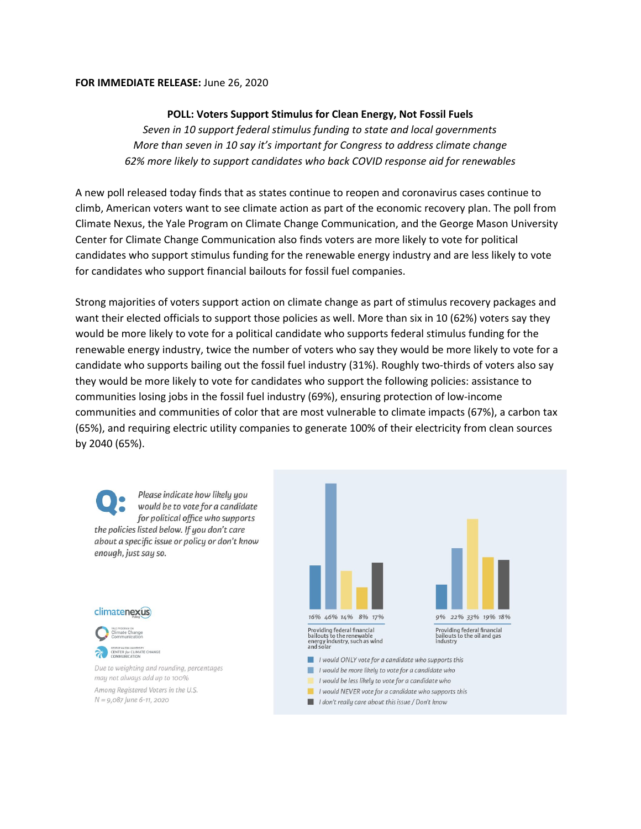## **FOR IMMEDIATE RELEASE:** June 26, 2020

## **POLL: Voters Support Stimulus for Clean Energy, Not Fossil Fuels**

*Seven in 10 support federal stimulus funding to state and local governments More than seven in 10 say it's important for Congress to address climate change 62% more likely to support candidates who back COVID response aid for renewables*

A new poll released today finds that as states continue to reopen and coronavirus cases continue to climb, American voters want to see climate action as part of the economic recovery plan. The poll from Climate Nexus, the Yale Program on Climate Change Communication, and the George Mason University Center for Climate Change Communication also finds voters are more likely to vote for political candidates who support stimulus funding for the renewable energy industry and are less likely to vote for candidates who support financial bailouts for fossil fuel companies.

Strong majorities of voters support action on climate change as part of stimulus recovery packages and want their elected officials to support those policies as well. More than six in 10 (62%) voters say they would be more likely to vote for a political candidate who supports federal stimulus funding for the renewable energy industry, twice the number of voters who say they would be more likely to vote for a candidate who supports bailing out the fossil fuel industry (31%). Roughly two-thirds of voters also say they would be more likely to vote for candidates who support the following policies: assistance to communities losing jobs in the fossil fuel industry (69%), ensuring protection of low-income communities and communities of color that are most vulnerable to climate impacts (67%), a carbon tax (65%), and requiring electric utility companies to generate 100% of their electricity from clean sources by 2040 (65%).

Please indicate how likely you would be to vote for a candidate for political office who supports the policies listed below. If you don't care about a specific issue or policy or don't know enough, just say so.

## climatenexus



Due to weighting and rounding, percentages may not always add up to 100% Among Registered Voters in the U.S.  $N = 9,087$  June 6-11, 2020



- I would be less likely to vote for a candidate who
- $\blacksquare$  I would NEVER vote for a candidate who supports this
- I don't really care about this issue / Don't know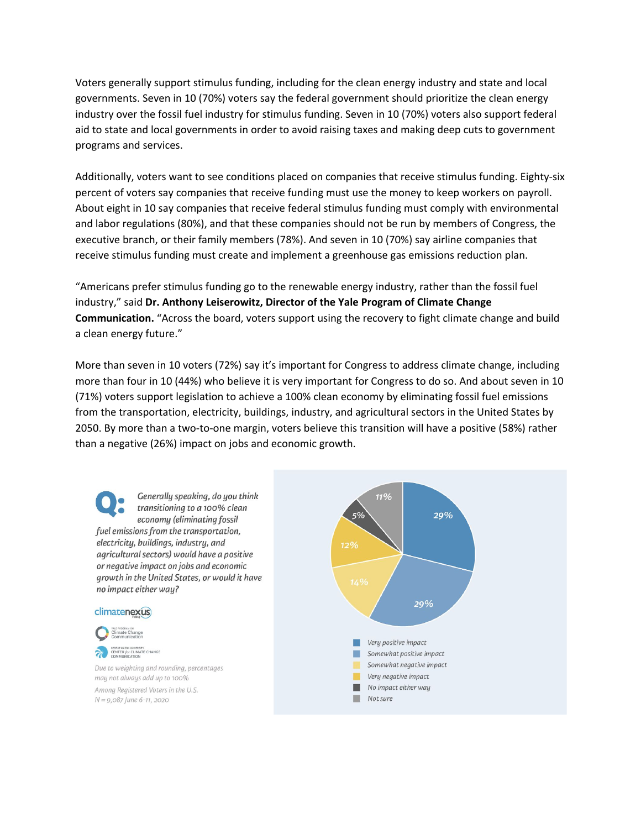Voters generally support stimulus funding, including for the clean energy industry and state and local governments. Seven in 10 (70%) voters say the federal government should prioritize the clean energy industry over the fossil fuel industry for stimulus funding. Seven in 10 (70%) voters also support federal aid to state and local governments in order to avoid raising taxes and making deep cuts to government programs and services.

Additionally, voters want to see conditions placed on companies that receive stimulus funding. Eighty-six percent of voters say companies that receive funding must use the money to keep workers on payroll. About eight in 10 say companies that receive federal stimulus funding must comply with environmental and labor regulations (80%), and that these companies should not be run by members of Congress, the executive branch, or their family members (78%). And seven in 10 (70%) say airline companies that receive stimulus funding must create and implement a greenhouse gas emissions reduction plan.

"Americans prefer stimulus funding go to the renewable energy industry, rather than the fossil fuel industry," said **Dr. Anthony Leiserowitz, Director of the Yale Program of Climate Change Communication.** "Across the board, voters support using the recovery to fight climate change and build a clean energy future."

More than seven in 10 voters (72%) say it's important for Congress to address climate change, including more than four in 10 (44%) who believe it is very important for Congress to do so. And about seven in 10 (71%) voters support legislation to achieve a 100% clean economy by eliminating fossil fuel emissions from the transportation, electricity, buildings, industry, and agricultural sectors in the United States by 2050. By more than a two-to-one margin, voters believe this transition will have a positive (58%) rather than a negative (26%) impact on jobs and economic growth.

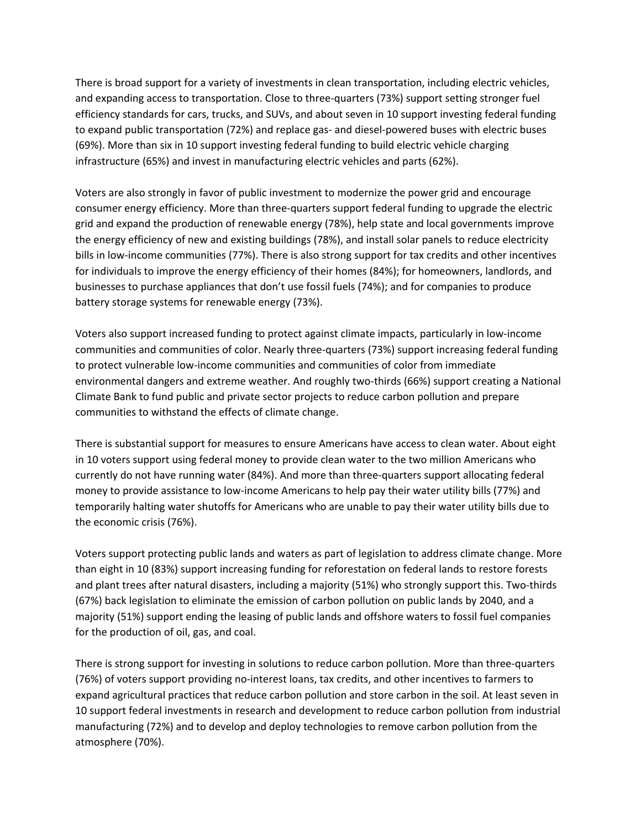There is broad support for a variety of investments in clean transportation, including electric vehicles, and expanding access to transportation. Close to three-quarters (73%) support setting stronger fuel efficiency standards for cars, trucks, and SUVs, and about seven in 10 support investing federal funding to expand public transportation (72%) and replace gas- and diesel-powered buses with electric buses (69%). More than six in 10 support investing federal funding to build electric vehicle charging infrastructure (65%) and invest in manufacturing electric vehicles and parts (62%).

Voters are also strongly in favor of public investment to modernize the power grid and encourage consumer energy efficiency. More than three-quarters support federal funding to upgrade the electric grid and expand the production of renewable energy (78%), help state and local governments improve the energy efficiency of new and existing buildings (78%), and install solar panels to reduce electricity bills in low-income communities (77%). There is also strong support for tax credits and other incentives for individuals to improve the energy efficiency of their homes (84%); for homeowners, landlords, and businesses to purchase appliances that don't use fossil fuels (74%); and for companies to produce battery storage systems for renewable energy (73%).

Voters also support increased funding to protect against climate impacts, particularly in low-income communities and communities of color. Nearly three-quarters (73%) support increasing federal funding to protect vulnerable low-income communities and communities of color from immediate environmental dangers and extreme weather. And roughly two-thirds (66%) support creating a National Climate Bank to fund public and private sector projects to reduce carbon pollution and prepare communities to withstand the effects of climate change.

There is substantial support for measures to ensure Americans have access to clean water. About eight in 10 voters support using federal money to provide clean water to the two million Americans who currently do not have running water (84%). And more than three-quarters support allocating federal money to provide assistance to low-income Americans to help pay their water utility bills (77%) and temporarily halting water shutoffs for Americans who are unable to pay their water utility bills due to the economic crisis (76%).

Voters support protecting public lands and waters as part of legislation to address climate change. More than eight in 10 (83%) support increasing funding for reforestation on federal lands to restore forests and plant trees after natural disasters, including a majority (51%) who strongly support this. Two-thirds (67%) back legislation to eliminate the emission of carbon pollution on public lands by 2040, and a majority (51%) support ending the leasing of public lands and offshore waters to fossil fuel companies for the production of oil, gas, and coal.

There is strong support for investing in solutions to reduce carbon pollution. More than three-quarters (76%) of voters support providing no-interest loans, tax credits, and other incentives to farmers to expand agricultural practices that reduce carbon pollution and store carbon in the soil. At least seven in 10 support federal investments in research and development to reduce carbon pollution from industrial manufacturing (72%) and to develop and deploy technologies to remove carbon pollution from the atmosphere (70%).